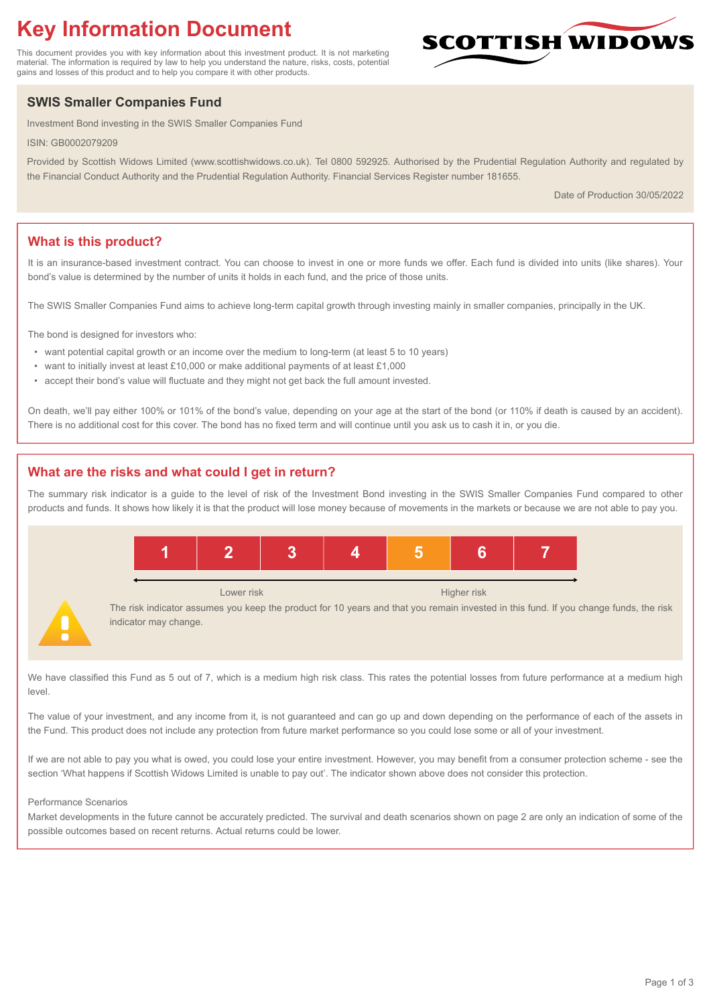# **Key Information Document**

This document provides you with key information about this investment product. It is not marketing material. The information is required by law to help you understand the nature, risks, costs, potential gains and losses of this product and to help you compare it with other products.

## **SWIS Smaller Companies Fund**

Investment Bond investing in the SWIS Smaller Companies Fund

ISIN: GB0002079209

Provided by Scottish Widows Limited (www.scottishwidows.co.uk). Tel 0800 592925. Authorised by the Prudential Regulation Authority and regulated by the Financial Conduct Authority and the Prudential Regulation Authority. Financial Services Register number 181655.

Date of Production 30/05/2022

**SCOTTISH WIDOW** 

## **What is this product?**

It is an insurance-based investment contract. You can choose to invest in one or more funds we offer. Each fund is divided into units (like shares). Your bond's value is determined by the number of units it holds in each fund, and the price of those units.

The SWIS Smaller Companies Fund aims to achieve long-term capital growth through investing mainly in smaller companies, principally in the UK.

The bond is designed for investors who:

- want potential capital growth or an income over the medium to long-term (at least 5 to 10 years)
- want to initially invest at least £10,000 or make additional payments of at least £1,000
- accept their bond's value will fluctuate and they might not get back the full amount invested.

On death, we'll pay either 100% or 101% of the bond's value, depending on your age at the start of the bond (or 110% if death is caused by an accident). There is no additional cost for this cover. The bond has no fixed term and will continue until you ask us to cash it in, or you die.

## **What are the risks and what could I get in return?**

The summary risk indicator is a guide to the level of risk of the Investment Bond investing in the SWIS Smaller Companies Fund compared to other products and funds. It shows how likely it is that the product will lose money because of movements in the markets or because we are not able to pay you.



We have classified this Fund as 5 out of 7, which is a medium high risk class. This rates the potential losses from future performance at a medium high level.

The value of your investment, and any income from it, is not guaranteed and can go up and down depending on the performance of each of the assets in the Fund. This product does not include any protection from future market performance so you could lose some or all of your investment.

If we are not able to pay you what is owed, you could lose your entire investment. However, you may benefit from a consumer protection scheme - see the section 'What happens if Scottish Widows Limited is unable to pay out'. The indicator shown above does not consider this protection.

#### Performance Scenarios

Market developments in the future cannot be accurately predicted. The survival and death scenarios shown on page 2 are only an indication of some of the possible outcomes based on recent returns. Actual returns could be lower.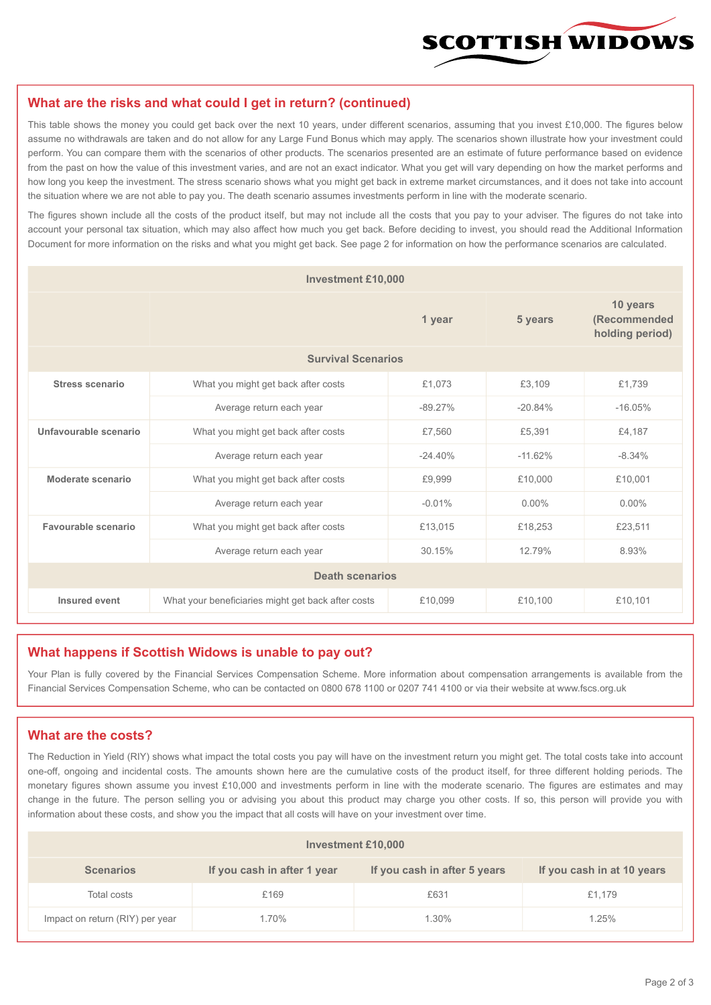

#### **What are the risks and what could I get in return? (continued)**

This table shows the money you could get back over the next 10 years, under different scenarios, assuming that you invest £10,000. The figures below assume no withdrawals are taken and do not allow for any Large Fund Bonus which may apply. The scenarios shown illustrate how your investment could perform. You can compare them with the scenarios of other products. The scenarios presented are an estimate of future performance based on evidence from the past on how the value of this investment varies, and are not an exact indicator. What you get will vary depending on how the market performs and how long you keep the investment. The stress scenario shows what you might get back in extreme market circumstances, and it does not take into account the situation where we are not able to pay you. The death scenario assumes investments perform in line with the moderate scenario.

The figures shown include all the costs of the product itself, but may not include all the costs that you pay to your adviser. The figures do not take into account your personal tax situation, which may also affect how much you get back. Before deciding to invest, you should read the Additional Information Document for more information on the risks and what you might get back. See page 2 for information on how the performance scenarios are calculated.

| <b>Investment £10,000</b> |                                                    |           |                                             |           |  |  |
|---------------------------|----------------------------------------------------|-----------|---------------------------------------------|-----------|--|--|
|                           |                                                    | 5 years   | 10 years<br>(Recommended<br>holding period) |           |  |  |
| <b>Survival Scenarios</b> |                                                    |           |                                             |           |  |  |
| <b>Stress scenario</b>    | What you might get back after costs                | £1,073    | £3,109                                      | £1,739    |  |  |
|                           | Average return each year                           | $-89.27%$ | $-20.84%$                                   | $-16.05%$ |  |  |
| Unfavourable scenario     | What you might get back after costs<br>£7,560      |           | £5,391                                      | £4,187    |  |  |
|                           | Average return each year                           | $-24.40%$ | $-11.62%$                                   | $-8.34%$  |  |  |
| Moderate scenario         | What you might get back after costs                | £9,999    | £10,000                                     | £10,001   |  |  |
|                           | Average return each year                           | $-0.01%$  | $0.00\%$                                    | $0.00\%$  |  |  |
| Favourable scenario       | What you might get back after costs                | £13,015   | £18,253                                     | £23,511   |  |  |
| Average return each year  |                                                    | 30.15%    | 12.79%                                      | 8.93%     |  |  |
| <b>Death scenarios</b>    |                                                    |           |                                             |           |  |  |
| Insured event             | What your beneficiaries might get back after costs | £10,099   | £10.100                                     | £10,101   |  |  |

#### **What happens if Scottish Widows is unable to pay out?**

Your Plan is fully covered by the Financial Services Compensation Scheme. More information about compensation arrangements is available from the Financial Services Compensation Scheme, who can be contacted on 0800 678 1100 or 0207 741 4100 or via their website at www.fscs.org.uk

### **What are the costs?**

The Reduction in Yield (RIY) shows what impact the total costs you pay will have on the investment return you might get. The total costs take into account one-off, ongoing and incidental costs. The amounts shown here are the cumulative costs of the product itself, for three different holding periods. The monetary figures shown assume you invest £10,000 and investments perform in line with the moderate scenario. The figures are estimates and may change in the future. The person selling you or advising you about this product may charge you other costs. If so, this person will provide you with information about these costs, and show you the impact that all costs will have on your investment over time.

| Investment £10,000              |                             |                              |                            |  |  |  |
|---------------------------------|-----------------------------|------------------------------|----------------------------|--|--|--|
| <b>Scenarios</b>                | If you cash in after 1 year | If you cash in after 5 years | If you cash in at 10 years |  |  |  |
| Total costs                     | £169                        | £631                         | £1,179                     |  |  |  |
| Impact on return (RIY) per year | 1.70%                       | 1.30%                        | 1.25%                      |  |  |  |